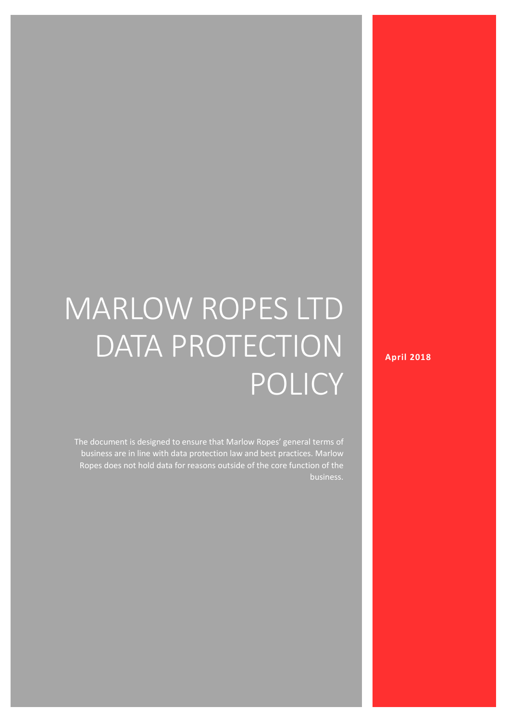# MARLOW ROPES LTD DATA PROTECTION POLICY

The document is designed to ensure that Marlow Ropes' general terms of business are in line with data protection law and best practices. Marlow Ropes does not hold data for reasons outside of the core function of the business. **April 2018**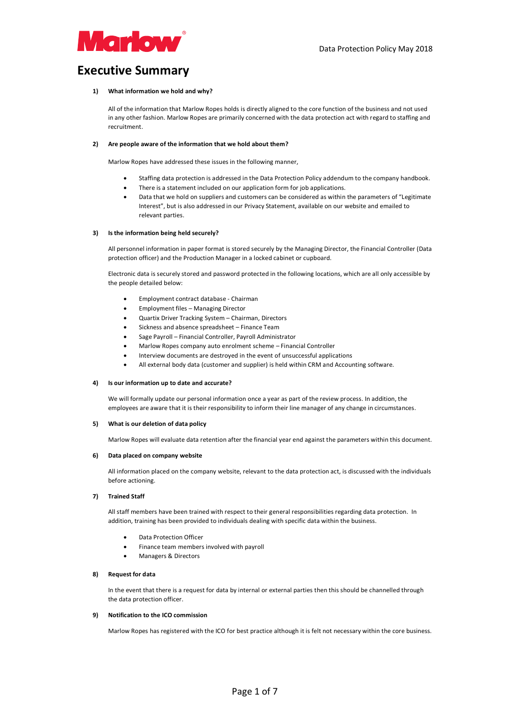

#### **Executive Summary**

#### **1) What information we hold and why?**

All of the information that Marlow Ropes holds is directly aligned to the core function of the business and not used in any other fashion. Marlow Ropes are primarily concerned with the data protection act with regard to staffing and recruitment.

#### **2) Are people aware of the information that we hold about them?**

Marlow Ropes have addressed these issues in the following manner,

- Staffing data protection is addressed in the Data Protection Policy addendum to the company handbook.
- There is a statement included on our application form for job applications.
- Data that we hold on suppliers and customers can be considered as within the parameters of "Legitimate Interest", but is also addressed in our Privacy Statement, available on our website and emailed to relevant parties.

#### **3) Is the information being held securely?**

All personnel information in paper format is stored securely by the Managing Director, the Financial Controller (Data protection officer) and the Production Manager in a locked cabinet or cupboard.

Electronic data is securely stored and password protected in the following locations, which are all only accessible by the people detailed below:

- Employment contract database Chairman
- Employment files Managing Director
- Quartix Driver Tracking System Chairman, Directors
- Sickness and absence spreadsheet Finance Team
- Sage Payroll Financial Controller, Payroll Administrator
- Marlow Ropes company auto enrolment scheme Financial Controller
- Interview documents are destroyed in the event of unsuccessful applications
- All external body data (customer and supplier) is held within CRM and Accounting software.

#### **4) Is our information up to date and accurate?**

We will formally update our personal information once a year as part of the review process. In addition, the employees are aware that it is their responsibility to inform their line manager of any change in circumstances.

#### **5) What is our deletion of data policy**

Marlow Ropes will evaluate data retention after the financial year end against the parameters within this document.

#### **6) Data placed on company website**

All information placed on the company website, relevant to the data protection act, is discussed with the individuals before actioning.

#### **7) Trained Staff**

All staff members have been trained with respect to their general responsibilities regarding data protection. In addition, training has been provided to individuals dealing with specific data within the business.

- Data Protection Officer
- Finance team members involved with payroll
- Managers & Directors

#### **8) Request for data**

In the event that there is a request for data by internal or external parties then this should be channelled through the data protection officer.

#### **9) Notification to the ICO commission**

Marlow Ropes has registered with the ICO for best practice although it is felt not necessary within the core business.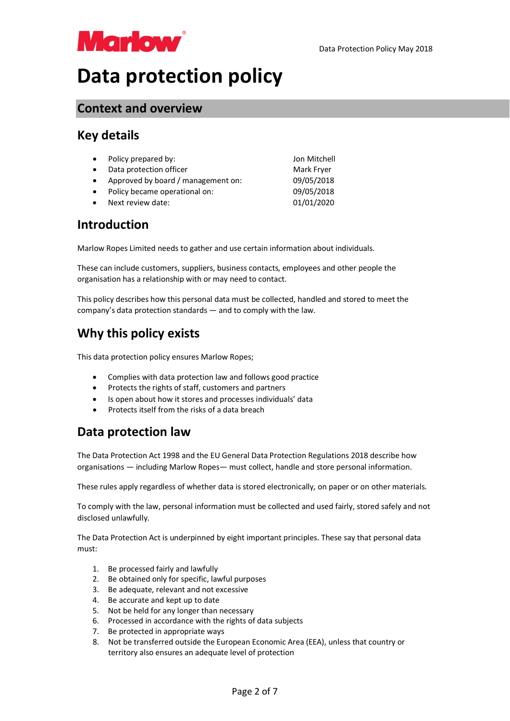

## **Data protection policy**

#### **Context and overview**

### **Key details**

|           | • Policy prepared by:              | Jon Mitchell |
|-----------|------------------------------------|--------------|
| $\bullet$ | Data protection officer            | Mark Fryer   |
| $\bullet$ | Approved by board / management on: | 09/05/2018   |
|           | • Policy became operational on:    | 09/05/2018   |
| $\bullet$ | Next review date:                  | 01/01/2020   |

### **Introduction**

Marlow Ropes Limited needs to gather and use certain information about individuals.

These can include customers, suppliers, business contacts, employees and other people the organisation has a relationship with or may need to contact.

This policy describes how this personal data must be collected, handled and stored to meet the company's data protection standards — and to comply with the law.

### **Why this policy exists**

This data protection policy ensures Marlow Ropes;

- Complies with data protection law and follows good practice
- Protects the rights of staff, customers and partners
- Is open about how it stores and processes individuals' data
- Protects itself from the risks of a data breach

### **Data protection law**

The Data Protection Act 1998 and the EU General Data Protection Regulations 2018 describe how organisations — including Marlow Ropes— must collect, handle and store personal information.

These rules apply regardless of whether data is stored electronically, on paper or on other materials.

To comply with the law, personal information must be collected and used fairly, stored safely and not disclosed unlawfully.

The Data Protection Act is underpinned by eight important principles. These say that personal data must:

- 1. Be processed fairly and lawfully
- 2. Be obtained only for specific, lawful purposes
- 3. Be adequate, relevant and not excessive
- 4. Be accurate and kept up to date
- 5. Not be held for any longer than necessary
- 6. Processed in accordance with the rights of data subjects
- 7. Be protected in appropriate ways
- 8. Not be transferred outside the European Economic Area (EEA), unless that country or territory also ensures an adequate level of protection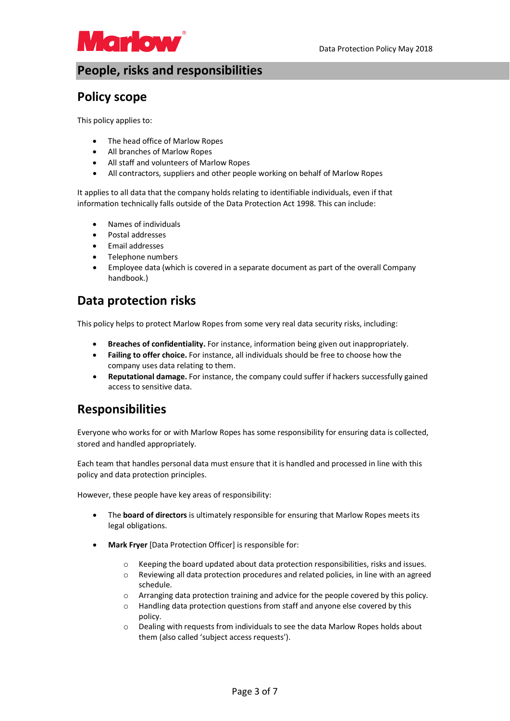

### **People, risks and responsibilities**

### **Policy scope**

This policy applies to:

- The head office of Marlow Ropes
- All branches of Marlow Ropes
- All staff and volunteers of Marlow Ropes
- All contractors, suppliers and other people working on behalf of Marlow Ropes

It applies to all data that the company holds relating to identifiable individuals, even if that information technically falls outside of the Data Protection Act 1998. This can include:

- Names of individuals
- Postal addresses
- Email addresses
- Telephone numbers
- Employee data (which is covered in a separate document as part of the overall Company handbook.)

### **Data protection risks**

This policy helps to protect Marlow Ropes from some very real data security risks, including:

- **Breaches of confidentiality.** For instance, information being given out inappropriately.
- **Failing to offer choice.** For instance, all individuals should be free to choose how the company uses data relating to them.
- **Reputational damage.** For instance, the company could suffer if hackers successfully gained access to sensitive data.

### **Responsibilities**

Everyone who works for or with Marlow Ropes has some responsibility for ensuring data is collected, stored and handled appropriately.

Each team that handles personal data must ensure that it is handled and processed in line with this policy and data protection principles.

However, these people have key areas of responsibility:

- The **board of directors** is ultimately responsible for ensuring that Marlow Ropes meets its legal obligations.
- **Mark Fryer** [Data Protection Officer] is responsible for:
	- o Keeping the board updated about data protection responsibilities, risks and issues.
	- o Reviewing all data protection procedures and related policies, in line with an agreed schedule.
	- $\circ$  Arranging data protection training and advice for the people covered by this policy.
	- o Handling data protection questions from staff and anyone else covered by this policy.
	- $\circ$  Dealing with requests from individuals to see the data Marlow Ropes holds about them (also called 'subject access requests').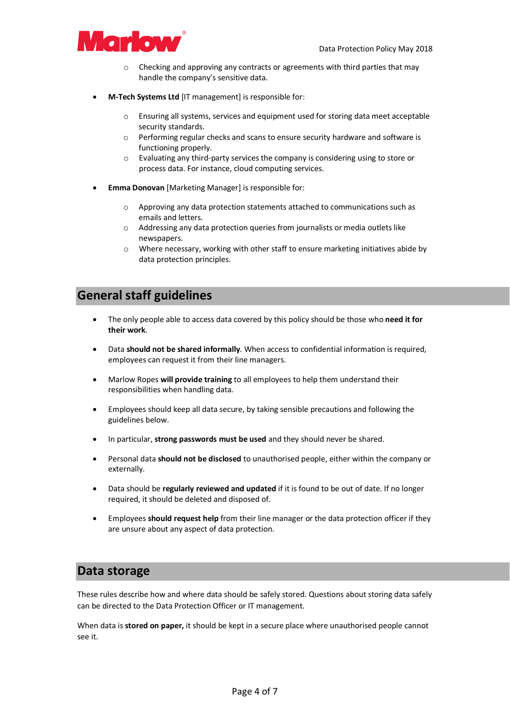

- o Checking and approving any contracts or agreements with third parties that may handle the company's sensitive data.
- **M-Tech Systems Ltd** [IT management] is responsible for:
	- o Ensuring all systems, services and equipment used for storing data meet acceptable security standards.
	- o Performing regular checks and scans to ensure security hardware and software is functioning properly.
	- o Evaluating any third-party services the company is considering using to store or process data. For instance, cloud computing services.
- **Emma Donovan** [Marketing Manager] is responsible for:
	- o Approving any data protection statements attached to communications such as emails and letters.
	- o Addressing any data protection queries from journalists or media outlets like newspapers.
	- $\circ$  Where necessary, working with other staff to ensure marketing initiatives abide by data protection principles.

#### **General staff guidelines**

- The only people able to access data covered by this policy should be those who **need it for their work**.
- Data **should not be shared informally**. When access to confidential information is required, employees can request it from their line managers.
- Marlow Ropes **will provide training** to all employees to help them understand their responsibilities when handling data.
- Employees should keep all data secure, by taking sensible precautions and following the guidelines below.
- In particular, **strong passwords must be used** and they should never be shared.
- Personal data **should not be disclosed** to unauthorised people, either within the company or externally.
- Data should be **regularly reviewed and updated** if it is found to be out of date. If no longer required, it should be deleted and disposed of.
- Employees **should request help** from their line manager or the data protection officer if they are unsure about any aspect of data protection.

#### **Data storage**

These rules describe how and where data should be safely stored. Questions about storing data safely can be directed to the Data Protection Officer or IT management.

When data is **stored on paper,** it should be kept in a secure place where unauthorised people cannot see it.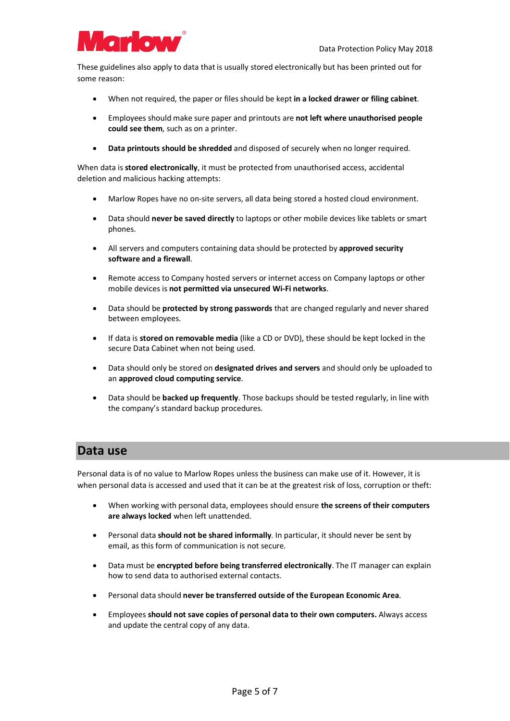

These guidelines also apply to data that is usually stored electronically but has been printed out for some reason:

- When not required, the paper or files should be kept **in a locked drawer or filing cabinet**.
- Employees should make sure paper and printouts are **not left where unauthorised people could see them**, such as on a printer.
- **Data printouts should be shredded** and disposed of securely when no longer required.

When data is **stored electronically**, it must be protected from unauthorised access, accidental deletion and malicious hacking attempts:

- Marlow Ropes have no on-site servers, all data being stored a hosted cloud environment.
- Data should **never be saved directly** to laptops or other mobile devices like tablets or smart phones.
- All servers and computers containing data should be protected by **approved security software and a firewall**.
- Remote access to Company hosted servers or internet access on Company laptops or other mobile devices is **not permitted via unsecured Wi-Fi networks**.
- Data should be **protected by strong passwords** that are changed regularly and never shared between employees.
- If data is **stored on removable media** (like a CD or DVD), these should be kept locked in the secure Data Cabinet when not being used.
- Data should only be stored on **designated drives and servers** and should only be uploaded to an **approved cloud computing service**.
- Data should be **backed up frequently**. Those backups should be tested regularly, in line with the company's standard backup procedures.

#### **Data use**

Personal data is of no value to Marlow Ropes unless the business can make use of it. However, it is when personal data is accessed and used that it can be at the greatest risk of loss, corruption or theft:

- When working with personal data, employees should ensure **the screens of their computers are always locked** when left unattended.
- Personal data **should not be shared informally**. In particular, it should never be sent by email, as this form of communication is not secure.
- Data must be **encrypted before being transferred electronically**. The IT manager can explain how to send data to authorised external contacts.
- Personal data should **never be transferred outside of the European Economic Area**.
- Employees **should not save copies of personal data to their own computers.** Always access and update the central copy of any data.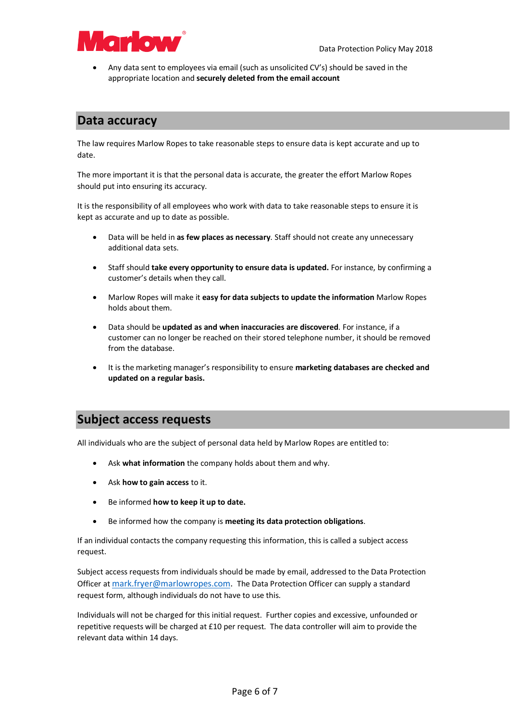

• Any data sent to employees via email (such as unsolicited CV's) should be saved in the appropriate location and **securely deleted from the email account**

#### **Data accuracy**

The law requires Marlow Ropes to take reasonable steps to ensure data is kept accurate and up to date.

The more important it is that the personal data is accurate, the greater the effort Marlow Ropes should put into ensuring its accuracy.

It is the responsibility of all employees who work with data to take reasonable steps to ensure it is kept as accurate and up to date as possible.

- Data will be held in **as few places as necessary**. Staff should not create any unnecessary additional data sets.
- Staff should **take every opportunity to ensure data is updated.** For instance, by confirming a customer's details when they call.
- Marlow Ropes will make it **easy for data subjects to update the information** Marlow Ropes holds about them.
- Data should be **updated as and when inaccuracies are discovered**. For instance, if a customer can no longer be reached on their stored telephone number, it should be removed from the database.
- It is the marketing manager's responsibility to ensure **marketing databases are checked and updated on a regular basis.**

#### **Subject access requests**

All individuals who are the subject of personal data held by Marlow Ropes are entitled to:

- Ask **what information** the company holds about them and why.
- Ask **how to gain access** to it.
- Be informed **how to keep it up to date.**
- Be informed how the company is **meeting its data protection obligations**.

If an individual contacts the company requesting this information, this is called a subject access request.

Subject access requests from individuals should be made by email, addressed to the Data Protection Officer at mark.fryer@marlowropes.com. The Data Protection Officer can supply a standard request form, although individuals do not have to use this.

Individuals will not be charged for this initial request. Further copies and excessive, unfounded or repetitive requests will be charged at £10 per request. The data controller will aim to provide the relevant data within 14 days.